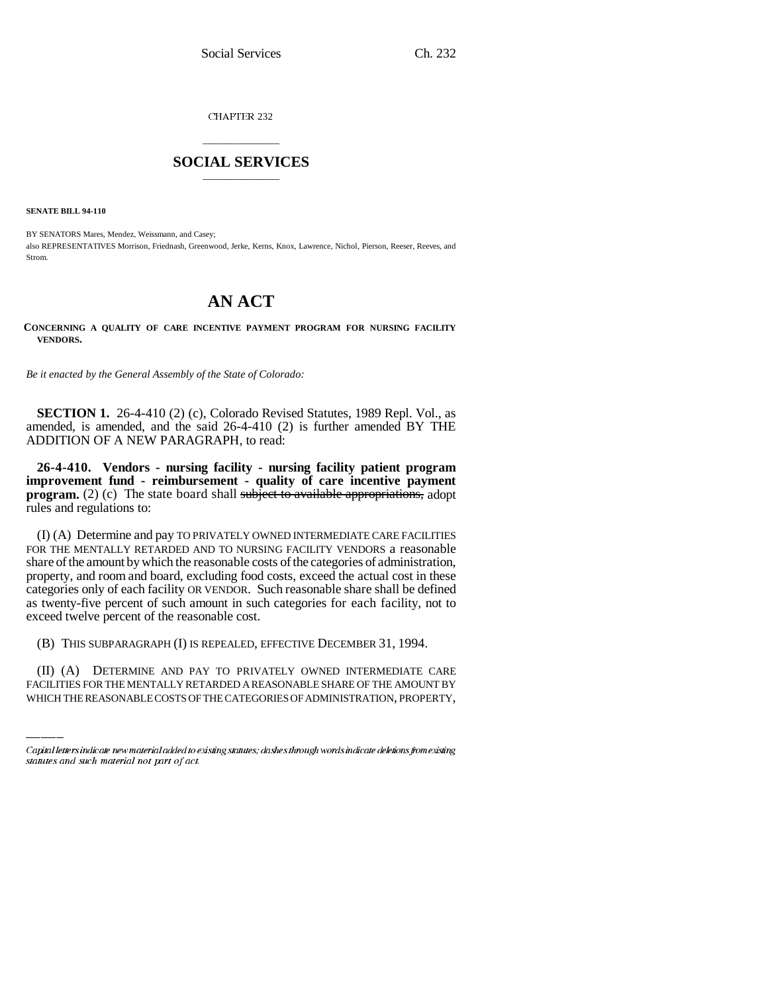CHAPTER 232

## \_\_\_\_\_\_\_\_\_\_\_\_\_\_\_ **SOCIAL SERVICES** \_\_\_\_\_\_\_\_\_\_\_\_\_\_\_

**SENATE BILL 94-110**

BY SENATORS Mares, Mendez, Weissmann, and Casey; also REPRESENTATIVES Morrison, Friednash, Greenwood, Jerke, Kerns, Knox, Lawrence, Nichol, Pierson, Reeser, Reeves, and Strom.

## **AN ACT**

**CONCERNING A QUALITY OF CARE INCENTIVE PAYMENT PROGRAM FOR NURSING FACILITY VENDORS.**

*Be it enacted by the General Assembly of the State of Colorado:*

**SECTION 1.** 26-4-410 (2) (c), Colorado Revised Statutes, 1989 Repl. Vol., as amended, is amended, and the said 26-4-410 (2) is further amended BY THE ADDITION OF A NEW PARAGRAPH, to read:

**26-4-410. Vendors - nursing facility - nursing facility patient program improvement fund - reimbursement - quality of care incentive payment program.** (2) (c) The state board shall subject to available appropriations, adopt rules and regulations to:

(I) (A) Determine and pay TO PRIVATELY OWNED INTERMEDIATE CARE FACILITIES FOR THE MENTALLY RETARDED AND TO NURSING FACILITY VENDORS a reasonable share of the amount by which the reasonable costs of the categories of administration, property, and room and board, excluding food costs, exceed the actual cost in these categories only of each facility OR VENDOR. Such reasonable share shall be defined as twenty-five percent of such amount in such categories for each facility, not to exceed twelve percent of the reasonable cost.

(B) THIS SUBPARAGRAPH (I) IS REPEALED, EFFECTIVE DECEMBER 31, 1994.

(II) (A) DETERMINE AND PAY TO PRIVATELY OWNED INTERMEDIATE CARE FACILITIES FOR THE MENTALLY RETARDED A REASONABLE SHARE OF THE AMOUNT BY WHICH THE REASONABLE COSTS OF THE CATEGORIES OF ADMINISTRATION, PROPERTY,

Capital letters indicate new material added to existing statutes; dashes through words indicate deletions from existing statutes and such material not part of act.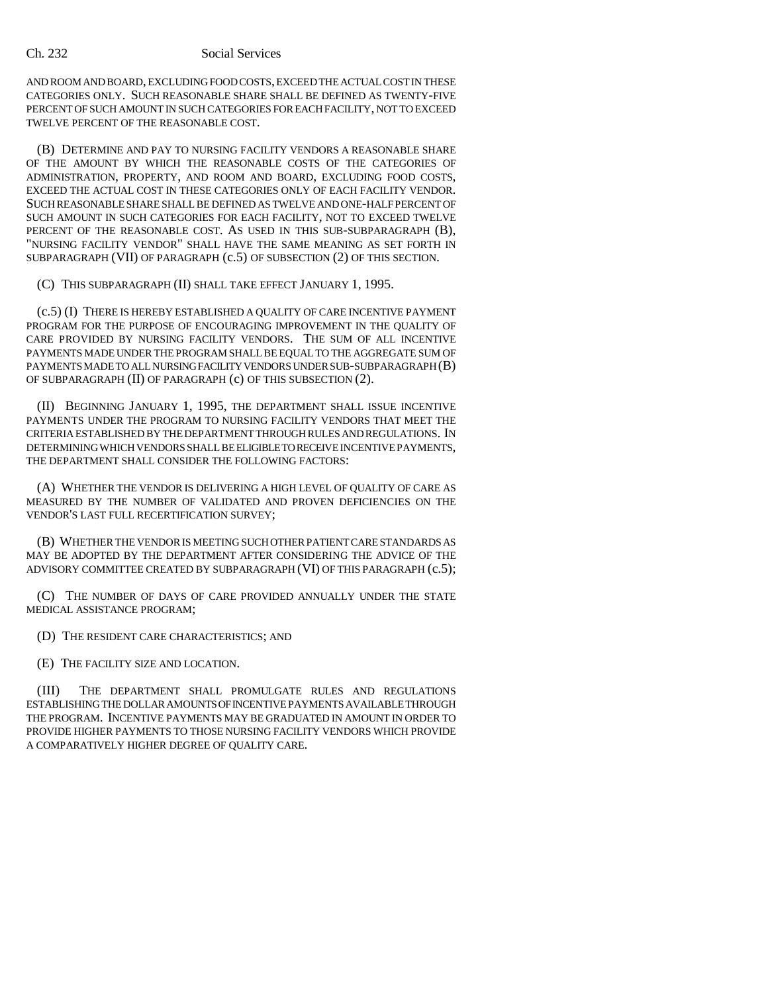## Ch. 232 Social Services

AND ROOM AND BOARD, EXCLUDING FOOD COSTS, EXCEED THE ACTUAL COST IN THESE CATEGORIES ONLY. SUCH REASONABLE SHARE SHALL BE DEFINED AS TWENTY-FIVE PERCENT OF SUCH AMOUNT IN SUCH CATEGORIES FOR EACH FACILITY, NOT TO EXCEED TWELVE PERCENT OF THE REASONABLE COST.

(B) DETERMINE AND PAY TO NURSING FACILITY VENDORS A REASONABLE SHARE OF THE AMOUNT BY WHICH THE REASONABLE COSTS OF THE CATEGORIES OF ADMINISTRATION, PROPERTY, AND ROOM AND BOARD, EXCLUDING FOOD COSTS, EXCEED THE ACTUAL COST IN THESE CATEGORIES ONLY OF EACH FACILITY VENDOR. SUCH REASONABLE SHARE SHALL BE DEFINED AS TWELVE AND ONE-HALF PERCENT OF SUCH AMOUNT IN SUCH CATEGORIES FOR EACH FACILITY, NOT TO EXCEED TWELVE PERCENT OF THE REASONABLE COST. AS USED IN THIS SUB-SUBPARAGRAPH (B), "NURSING FACILITY VENDOR" SHALL HAVE THE SAME MEANING AS SET FORTH IN SUBPARAGRAPH (VII) OF PARAGRAPH (c.5) OF SUBSECTION (2) OF THIS SECTION.

(C) THIS SUBPARAGRAPH (II) SHALL TAKE EFFECT JANUARY 1, 1995.

(c.5) (I) THERE IS HEREBY ESTABLISHED A QUALITY OF CARE INCENTIVE PAYMENT PROGRAM FOR THE PURPOSE OF ENCOURAGING IMPROVEMENT IN THE QUALITY OF CARE PROVIDED BY NURSING FACILITY VENDORS. THE SUM OF ALL INCENTIVE PAYMENTS MADE UNDER THE PROGRAM SHALL BE EQUAL TO THE AGGREGATE SUM OF PAYMENTS MADE TO ALL NURSING FACILITY VENDORS UNDER SUB-SUBPARAGRAPH (B) OF SUBPARAGRAPH (II) OF PARAGRAPH (c) OF THIS SUBSECTION (2).

(II) BEGINNING JANUARY 1, 1995, THE DEPARTMENT SHALL ISSUE INCENTIVE PAYMENTS UNDER THE PROGRAM TO NURSING FACILITY VENDORS THAT MEET THE CRITERIA ESTABLISHED BY THE DEPARTMENT THROUGH RULES AND REGULATIONS. IN DETERMINING WHICH VENDORS SHALL BE ELIGIBLE TO RECEIVE INCENTIVE PAYMENTS, THE DEPARTMENT SHALL CONSIDER THE FOLLOWING FACTORS:

(A) WHETHER THE VENDOR IS DELIVERING A HIGH LEVEL OF QUALITY OF CARE AS MEASURED BY THE NUMBER OF VALIDATED AND PROVEN DEFICIENCIES ON THE VENDOR'S LAST FULL RECERTIFICATION SURVEY;

(B) WHETHER THE VENDOR IS MEETING SUCH OTHER PATIENT CARE STANDARDS AS MAY BE ADOPTED BY THE DEPARTMENT AFTER CONSIDERING THE ADVICE OF THE ADVISORY COMMITTEE CREATED BY SUBPARAGRAPH (VI) OF THIS PARAGRAPH (c.5);

(C) THE NUMBER OF DAYS OF CARE PROVIDED ANNUALLY UNDER THE STATE MEDICAL ASSISTANCE PROGRAM;

(D) THE RESIDENT CARE CHARACTERISTICS; AND

(E) THE FACILITY SIZE AND LOCATION.

(III) THE DEPARTMENT SHALL PROMULGATE RULES AND REGULATIONS ESTABLISHING THE DOLLAR AMOUNTS OF INCENTIVE PAYMENTS AVAILABLE THROUGH THE PROGRAM. INCENTIVE PAYMENTS MAY BE GRADUATED IN AMOUNT IN ORDER TO PROVIDE HIGHER PAYMENTS TO THOSE NURSING FACILITY VENDORS WHICH PROVIDE A COMPARATIVELY HIGHER DEGREE OF QUALITY CARE.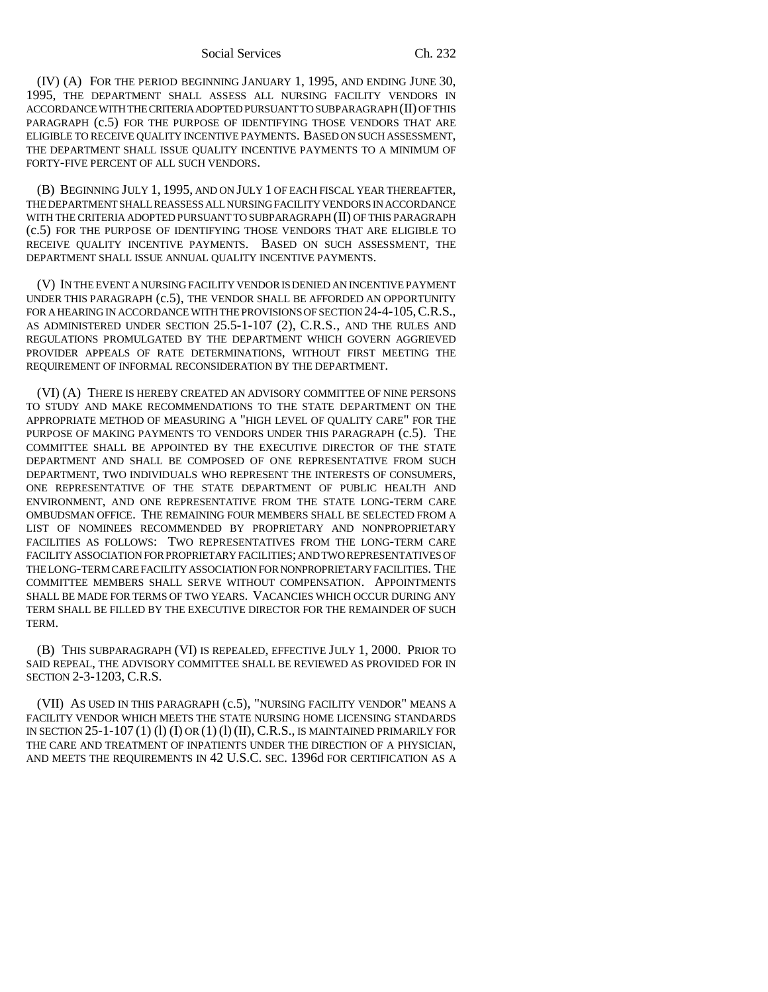## Social Services Ch. 232

(IV) (A) FOR THE PERIOD BEGINNING JANUARY 1, 1995, AND ENDING JUNE 30, 1995, THE DEPARTMENT SHALL ASSESS ALL NURSING FACILITY VENDORS IN ACCORDANCE WITH THE CRITERIA ADOPTED PURSUANT TO SUBPARAGRAPH (II) OF THIS PARAGRAPH (c.5) FOR THE PURPOSE OF IDENTIFYING THOSE VENDORS THAT ARE ELIGIBLE TO RECEIVE QUALITY INCENTIVE PAYMENTS. BASED ON SUCH ASSESSMENT, THE DEPARTMENT SHALL ISSUE QUALITY INCENTIVE PAYMENTS TO A MINIMUM OF FORTY-FIVE PERCENT OF ALL SUCH VENDORS.

(B) BEGINNING JULY 1, 1995, AND ON JULY 1 OF EACH FISCAL YEAR THEREAFTER, THE DEPARTMENT SHALL REASSESS ALL NURSING FACILITY VENDORS IN ACCORDANCE WITH THE CRITERIA ADOPTED PURSUANT TO SUBPARAGRAPH (II) OF THIS PARAGRAPH (c.5) FOR THE PURPOSE OF IDENTIFYING THOSE VENDORS THAT ARE ELIGIBLE TO RECEIVE QUALITY INCENTIVE PAYMENTS. BASED ON SUCH ASSESSMENT, THE DEPARTMENT SHALL ISSUE ANNUAL QUALITY INCENTIVE PAYMENTS.

(V) IN THE EVENT A NURSING FACILITY VENDOR IS DENIED AN INCENTIVE PAYMENT UNDER THIS PARAGRAPH (c.5), THE VENDOR SHALL BE AFFORDED AN OPPORTUNITY FOR A HEARING IN ACCORDANCE WITH THE PROVISIONS OF SECTION 24-4-105, C.R.S., AS ADMINISTERED UNDER SECTION 25.5-1-107 (2), C.R.S., AND THE RULES AND REGULATIONS PROMULGATED BY THE DEPARTMENT WHICH GOVERN AGGRIEVED PROVIDER APPEALS OF RATE DETERMINATIONS, WITHOUT FIRST MEETING THE REQUIREMENT OF INFORMAL RECONSIDERATION BY THE DEPARTMENT.

(VI) (A) THERE IS HEREBY CREATED AN ADVISORY COMMITTEE OF NINE PERSONS TO STUDY AND MAKE RECOMMENDATIONS TO THE STATE DEPARTMENT ON THE APPROPRIATE METHOD OF MEASURING A "HIGH LEVEL OF QUALITY CARE" FOR THE PURPOSE OF MAKING PAYMENTS TO VENDORS UNDER THIS PARAGRAPH (c.5). THE COMMITTEE SHALL BE APPOINTED BY THE EXECUTIVE DIRECTOR OF THE STATE DEPARTMENT AND SHALL BE COMPOSED OF ONE REPRESENTATIVE FROM SUCH DEPARTMENT, TWO INDIVIDUALS WHO REPRESENT THE INTERESTS OF CONSUMERS, ONE REPRESENTATIVE OF THE STATE DEPARTMENT OF PUBLIC HEALTH AND ENVIRONMENT, AND ONE REPRESENTATIVE FROM THE STATE LONG-TERM CARE OMBUDSMAN OFFICE. THE REMAINING FOUR MEMBERS SHALL BE SELECTED FROM A LIST OF NOMINEES RECOMMENDED BY PROPRIETARY AND NONPROPRIETARY FACILITIES AS FOLLOWS: TWO REPRESENTATIVES FROM THE LONG-TERM CARE FACILITY ASSOCIATION FOR PROPRIETARY FACILITIES; AND TWO REPRESENTATIVES OF THE LONG-TERM CARE FACILITY ASSOCIATION FOR NONPROPRIETARY FACILITIES. THE COMMITTEE MEMBERS SHALL SERVE WITHOUT COMPENSATION. APPOINTMENTS SHALL BE MADE FOR TERMS OF TWO YEARS. VACANCIES WHICH OCCUR DURING ANY TERM SHALL BE FILLED BY THE EXECUTIVE DIRECTOR FOR THE REMAINDER OF SUCH TERM.

(B) THIS SUBPARAGRAPH (VI) IS REPEALED, EFFECTIVE JULY 1, 2000. PRIOR TO SAID REPEAL, THE ADVISORY COMMITTEE SHALL BE REVIEWED AS PROVIDED FOR IN SECTION 2-3-1203, C.R.S.

(VII) AS USED IN THIS PARAGRAPH (c.5), "NURSING FACILITY VENDOR" MEANS A FACILITY VENDOR WHICH MEETS THE STATE NURSING HOME LICENSING STANDARDS IN SECTION  $25$ -1-107 (1) (1) (I) OR (1) (I) (II), C.R.S., IS MAINTAINED PRIMARILY FOR THE CARE AND TREATMENT OF INPATIENTS UNDER THE DIRECTION OF A PHYSICIAN, AND MEETS THE REQUIREMENTS IN 42 U.S.C. SEC. 1396d FOR CERTIFICATION AS A